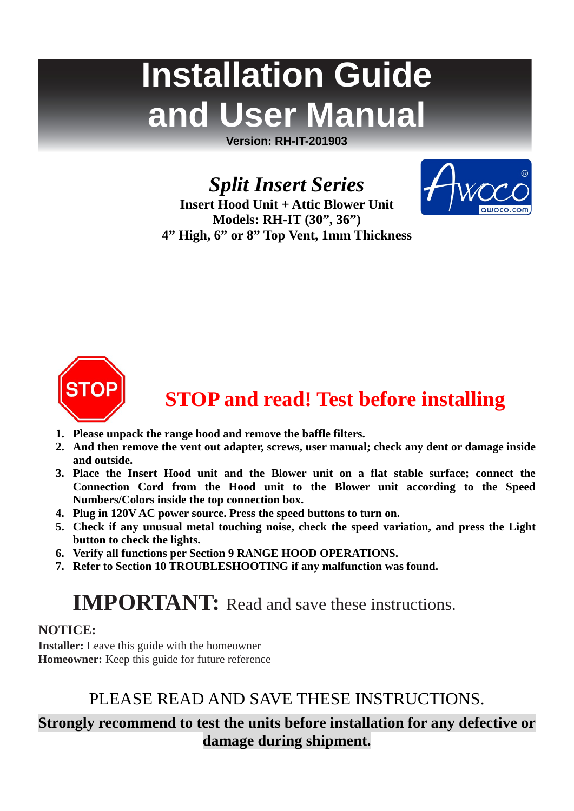# **Installation Guide and User Manual**

**Version: RH-IT-201903**

*Split Insert Series*



**Insert Hood Unit + Attic Blower Unit Models: RH-IT (30", 36") 4" High, 6" or 8" Top Vent, 1mm Thickness**



# **STOP and read! Test before installing**

- **1. Please unpack the range hood and remove the baffle filters.**
- **2. And then remove the vent out adapter, screws, user manual; check any dent or damage inside and outside.**
- **3. Place the Insert Hood unit and the Blower unit on a flat stable surface; connect the Connection Cord from the Hood unit to the Blower unit according to the Speed Numbers/Colors inside the top connection box.**
- **4. Plug in 120V AC power source. Press the speed buttons to turn on.**
- **5. Check if any unusual metal touching noise, check the speed variation, and press the Light button to check the lights.**
- **6. Verify all functions per Section 9 [RANGE HOOD OPERATIONS.](#page-10-0)**
- **7. Refer to Section 10 [TROUBLESHOOTING](#page-10-1) if any malfunction was found.**

# **IMPORTANT:** Read and save these instructions.

# **NOTICE:**

**Installer:** Leave this guide with the homeowner **Homeowner:** Keep this guide for future reference

# PLEASE READ AND SAVE THESE INSTRUCTIONS.

# **Strongly recommend to test the units before installation for any defective or damage during shipment.**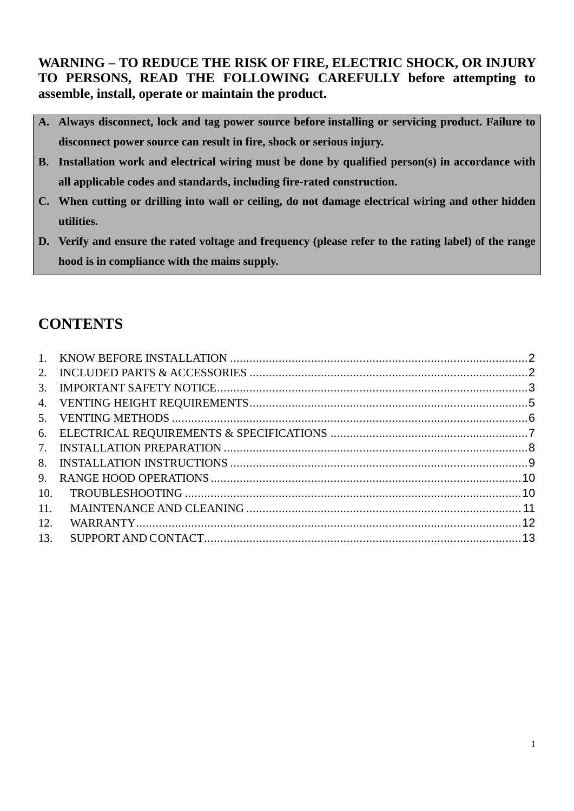**WARNING – TO REDUCE THE RISK OF FIRE, ELECTRIC SHOCK, OR INJURY TO PERSONS, READ THE FOLLOWING CAREFULLY before attempting to assemble, install, operate or maintain the product.**

- **A. Always disconnect, lock and tag power source before installing or servicing product. Failure to disconnect power source can result in fire, shock or serious injury.**
- **B. Installation work and electrical wiring must be done by qualified person(s) in accordance with all applicable codes and standards, including fire-rated construction.**
- **C. When cutting or drilling into wall or ceiling, do not damage electrical wiring and other hidden utilities.**
- **D. Verify and ensure the rated voltage and frequency (please refer to the rating label) of the range hood is in compliance with the mains supply.**

# **CONTENTS**

| $\mathbf{1}$ |  |
|--------------|--|
|              |  |
| 3.           |  |
|              |  |
|              |  |
|              |  |
|              |  |
| 8.           |  |
| 9.           |  |
| 10.          |  |
| 11.          |  |
| 12.          |  |
| 13.          |  |
|              |  |

1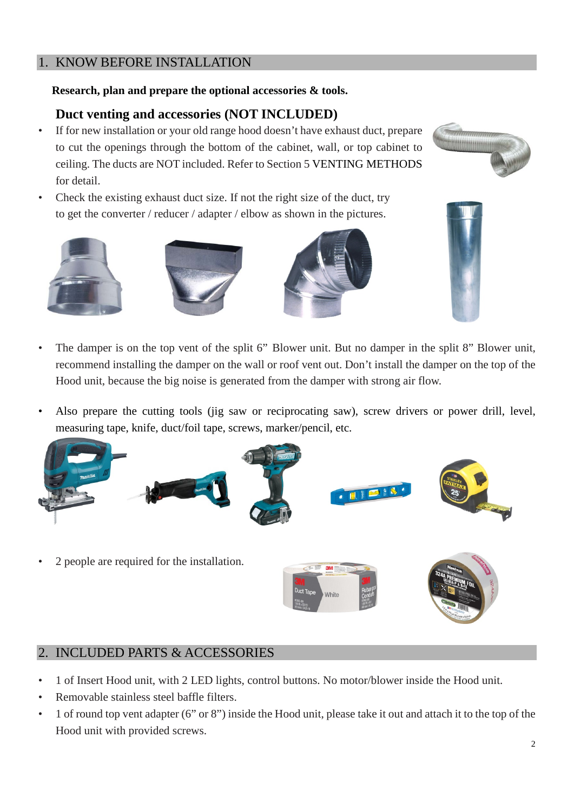# <span id="page-2-0"></span>1. KNOW BEFORE INSTALLATION

# **Research, plan and prepare the optional accessories & tools.**

# **Duct venting and accessories (NOT INCLUDED)**

- If for new installation or your old range hood doesn't have exhaust duct, prepare to cut the openings through the bottom of the cabinet, wall, or top cabinet to ceiling. The ducts are NOT included. Refer to Section [5](#page-6-0) [VENTING METHODS](#page-6-0) for detail.
- Check the existing exhaust duct size. If not the right size of the duct, try to get the converter / reducer / adapter / elbow as shown in the pictures.











Also prepare the cutting tools (jig saw or reciprocating saw), screw drivers or power drill, level, measuring tape, knife, duct/foil tape, screws, marker/pencil, etc.



• 2 people are required for the installation.





# <span id="page-2-1"></span>2. INCLUDED PARTS & ACCESSORIES

- 1 of Insert Hood unit, with 2 LED lights, control buttons. No motor/blower inside the Hood unit.
- Removable stainless steel baffle filters.
- 1 of round top vent adapter (6" or 8") inside the Hood unit, please take it out and attach it to the top of the Hood unit with provided screws.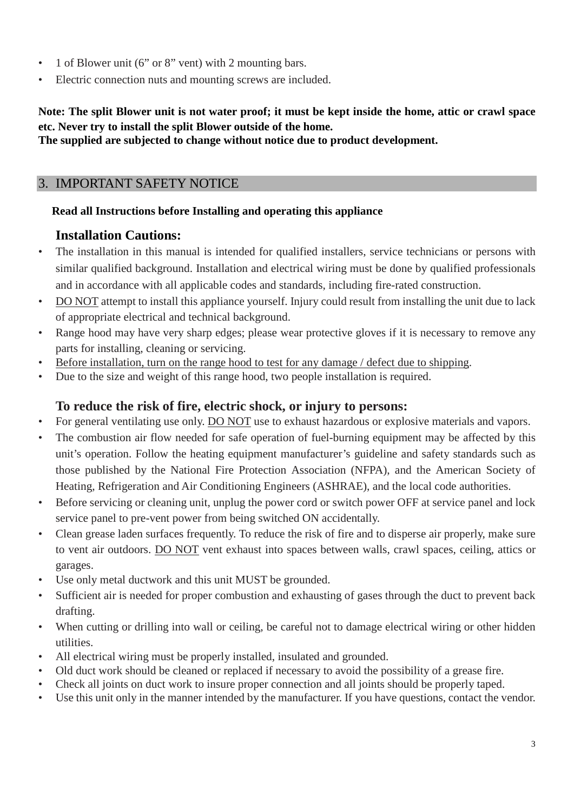- 1 of Blower unit (6" or 8" vent) with 2 mounting bars.
- Electric connection nuts and mounting screws are included.

# **Note: The split Blower unit is not water proof; it must be kept inside the home, attic or crawl space etc. Never try to install the split Blower outside of the home.**

# **The supplied are subjected to change without notice due to product development.**

# <span id="page-3-0"></span>3. IMPORTANT SAFETY NOTICE

# **Read all Instructions before Installing and operating this appliance**

# **Installation Cautions:**

- The installation in this manual is intended for qualified installers, service technicians or persons with similar qualified background. Installation and electrical wiring must be done by qualified professionals and in accordance with all applicable codes and standards, including fire-rated construction.
- DO NOT attempt to install this appliance yourself. Injury could result from installing the unit due to lack of appropriate electrical and technical background.
- Range hood may have very sharp edges; please wear protective gloves if it is necessary to remove any parts for installing, cleaning or servicing.
- Before installation, turn on the range hood to test for any damage / defect due to shipping.
- Due to the size and weight of this range hood, two people installation is required.

# **To reduce the risk of fire, electric shock, or injury to persons:**

- For general ventilating use only. DO NOT use to exhaust hazardous or explosive materials and vapors.
- The combustion air flow needed for safe operation of fuel-burning equipment may be affected by this unit's operation. Follow the heating equipment manufacturer's guideline and safety standards such as those published by the National Fire Protection Association (NFPA), and the American Society of Heating, Refrigeration and Air Conditioning Engineers (ASHRAE), and the local code authorities.
- Before servicing or cleaning unit, unplug the power cord or switch power OFF at service panel and lock service panel to pre-vent power from being switched ON accidentally.
- Clean grease laden surfaces frequently. To reduce the risk of fire and to disperse air properly, make sure to vent air outdoors. DO NOT vent exhaust into spaces between walls, crawl spaces, ceiling, attics or garages.
- Use only metal ductwork and this unit MUST be grounded.
- Sufficient air is needed for proper combustion and exhausting of gases through the duct to prevent back drafting.
- When cutting or drilling into wall or ceiling, be careful not to damage electrical wiring or other hidden utilities.
- All electrical wiring must be properly installed, insulated and grounded.
- Old duct work should be cleaned or replaced if necessary to avoid the possibility of a grease fire.
- Check all joints on duct work to insure proper connection and all joints should be properly taped.
- Use this unit only in the manner intended by the manufacturer. If you have questions, contact the vendor.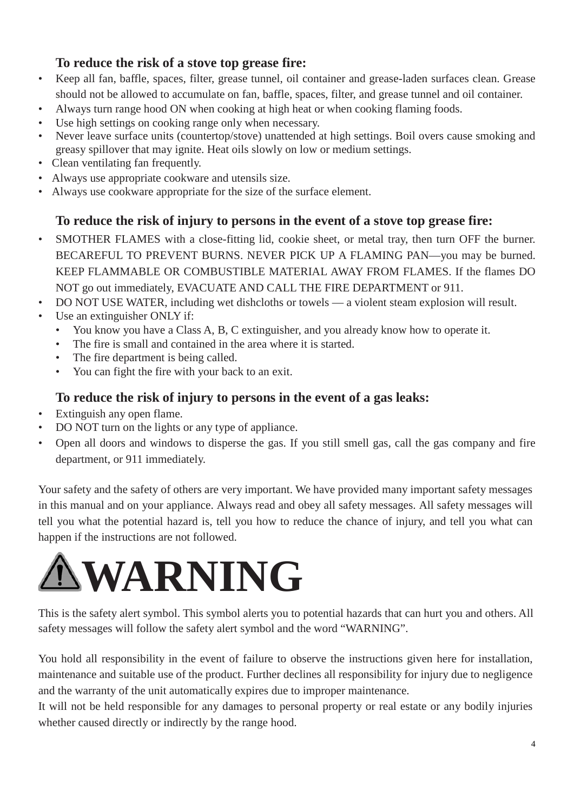# **To reduce the risk of a stove top grease fire:**

- Keep all fan, baffle, spaces, filter, grease tunnel, oil container and grease-laden surfaces clean. Grease should not be allowed to accumulate on fan, baffle, spaces, filter, and grease tunnel and oil container.
- Always turn range hood ON when cooking at high heat or when cooking flaming foods.
- Use high settings on cooking range only when necessary.
- Never leave surface units (countertop/stove) unattended at high settings. Boil overs cause smoking and greasy spillover that may ignite. Heat oils slowly on low or medium settings.
- Clean ventilating fan frequently.
- Always use appropriate cookware and utensils size.
- Always use cookware appropriate for the size of the surface element.

# **To reduce the risk of injury to persons in the event of a stove top grease fire:**

- SMOTHER FLAMES with a close-fitting lid, cookie sheet, or metal tray, then turn OFF the burner. BECAREFUL TO PREVENT BURNS. NEVER PICK UP A FLAMING PAN—you may be burned. KEEP FLAMMABLE OR COMBUSTIBLE MATERIAL AWAY FROM FLAMES. If the flames DO NOT go out immediately, EVACUATE AND CALL THE FIRE DEPARTMENT or 911.
- DO NOT USE WATER, including wet dishcloths or towels a violent steam explosion will result.
- Use an extinguisher ONLY if:
	- You know you have a Class A, B, C extinguisher, and you already know how to operate it.
	- The fire is small and contained in the area where it is started.
	- The fire department is being called.
	- You can fight the fire with your back to an exit.

# **To reduce the risk of injury to persons in the event of a gas leaks:**

- Extinguish any open flame.
- DO NOT turn on the lights or any type of appliance.
- Open all doors and windows to disperse the gas. If you still smell gas, call the gas company and fire department, or 911 immediately.

Your safety and the safety of others are very important. We have provided many important safety messages in this manual and on your appliance. Always read and obey all safety messages. All safety messages will tell you what the potential hazard is, tell you how to reduce the chance of injury, and tell you what can happen if the instructions are not followed.



This is the safety alert symbol. This symbol alerts you to potential hazards that can hurt you and others. All safety messages will follow the safety alert symbol and the word "WARNING".

You hold all responsibility in the event of failure to observe the instructions given here for installation, maintenance and suitable use of the product. Further declines all responsibility for injury due to negligence and the warranty of the unit automatically expires due to improper maintenance.

It will not be held responsible for any damages to personal property or real estate or any bodily injuries whether caused directly or indirectly by the range hood.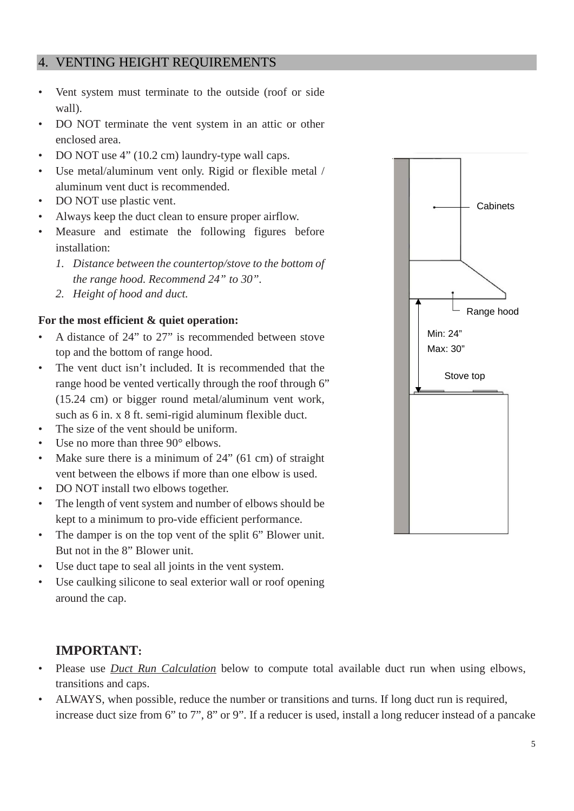# <span id="page-5-0"></span>4. VENTING HEIGHT REQUIREMENTS

- Vent system must terminate to the outside (roof or side wall).
- DO NOT terminate the vent system in an attic or other enclosed area.
- DO NOT use 4" (10.2 cm) laundry-type wall caps.
- Use metal/aluminum vent only. Rigid or flexible metal / aluminum vent duct is recommended.
- DO NOT use plastic vent.
- Always keep the duct clean to ensure proper airflow.
- Measure and estimate the following figures before installation:
	- *1. Distance between the countertop/stove to the bottom of the range hood. Recommend 24" to 30".*
	- *2. Height of hood and duct.*

#### **For the most efficient & quiet operation:**

- A distance of 24" to 27" is recommended between stove top and the bottom of range hood.
- The vent duct isn't included. It is recommended that the range hood be vented vertically through the roof through 6" (15.24 cm) or bigger round metal/aluminum vent work, such as 6 in. x 8 ft. semi-rigid aluminum flexible duct.
- The size of the vent should be uniform.
- Use no more than three  $90^\circ$  elbows.
- Make sure there is a minimum of 24" (61 cm) of straight vent between the elbows if more than one elbow is used.
- DO NOT install two elbows together.
- The length of vent system and number of elbows should be kept to a minimum to pro-vide efficient performance.
- The damper is on the top vent of the split 6" Blower unit. But not in the 8" Blower unit.
- Use duct tape to seal all joints in the vent system.
- Use caulking silicone to seal exterior wall or roof opening around the cap.

# **IMPORTANT:**

- Please use *Duct Run Calculation* below to compute total available duct run when using elbows, transitions and caps.
- ALWAYS, when possible, reduce the number or transitions and turns. If long duct run is required, increase duct size from 6" to 7", 8" or 9". If a reducer is used, install a long reducer instead of a pancake

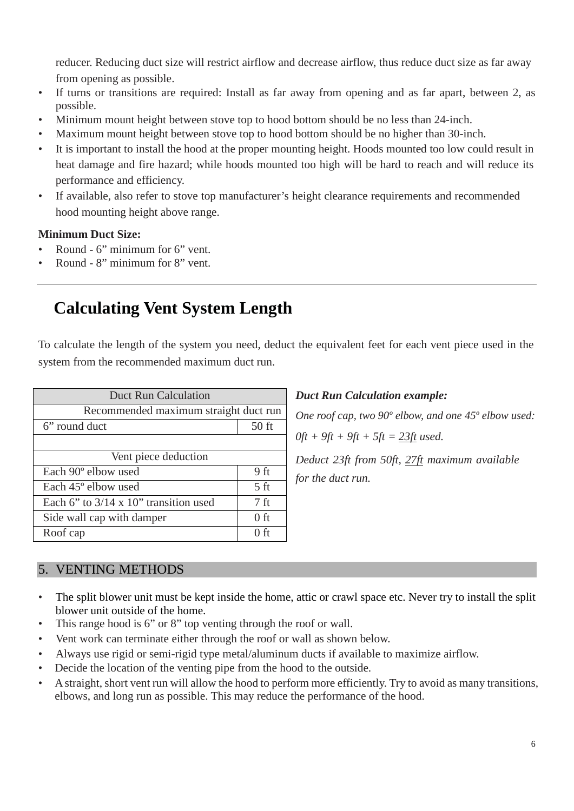reducer. Reducing duct size will restrict airflow and decrease airflow, thus reduce duct size as far away from opening as possible.

- If turns or transitions are required: Install as far away from opening and as far apart, between 2, as possible.
- Minimum mount height between stove top to hood bottom should be no less than 24-inch.
- Maximum mount height between stove top to hood bottom should be no higher than 30-inch.
- It is important to install the hood at the proper mounting height. Hoods mounted too low could result in heat damage and fire hazard; while hoods mounted too high will be hard to reach and will reduce its performance and efficiency.
- If available, also refer to stove top manufacturer's height clearance requirements and recommended hood mounting height above range.

#### **Minimum Duct Size:**

- Round 6" minimum for 6" vent.
- Round 8" minimum for 8" vent.

# **Calculating Vent System Length**

To calculate the length of the system you need, deduct the equivalent feet for each vent piece used in the system from the recommended maximum duct run.

| <b>Duct Run Calculation</b>                   |                 |  |
|-----------------------------------------------|-----------------|--|
| Recommended maximum straight duct run         |                 |  |
| 6" round duct                                 | $50$ ft         |  |
|                                               |                 |  |
| Vent piece deduction                          |                 |  |
| Each 90° elbow used                           | 9 <sub>ft</sub> |  |
| Each 45° elbow used                           | 5 <sub>ft</sub> |  |
| Each 6" to $3/14 \times 10$ " transition used | 7 ft            |  |
| Side wall cap with damper                     | $0$ ft          |  |
| Roof cap                                      | 0 ft            |  |

#### *Duct Run Calculation example:*

*One roof cap, two 90º elbow, and one 45º elbow used:*

*0ft + 9ft + 9ft + 5ft = 23ft used.*

*Deduct 23ft from 50ft, 27ft maximum available for the duct run.*

# <span id="page-6-0"></span>5. VENTING METHODS

- The split blower unit must be kept inside the home, attic or crawl space etc. Never try to install the split blower unit outside of the home.
- This range hood is 6" or 8" top venting through the roof or wall.
- Vent work can terminate either through the roof or wall as shown below.
- Always use rigid or semi-rigid type metal/aluminum ducts if available to maximize airflow.
- Decide the location of the venting pipe from the hood to the outside.
- A straight, short vent run will allow the hood to perform more efficiently. Try to avoid as many transitions, elbows, and long run as possible. This may reduce the performance of the hood.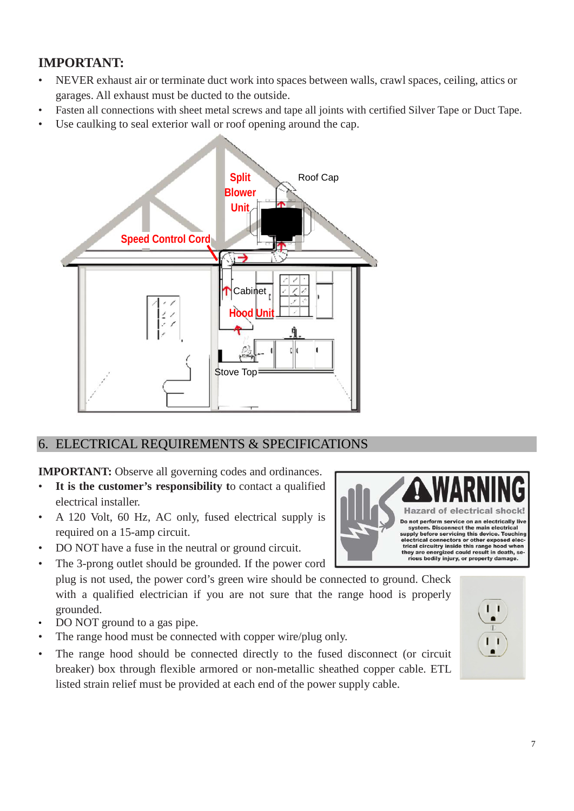# **IMPORTANT:**

- NEVER exhaust air or terminate duct work into spaces between walls, crawl spaces, ceiling, attics or garages. All exhaust must be ducted to the outside.
- Fasten all connections with sheet metal screws and tape all joints with certified Silver Tape or Duct Tape.
- Use caulking to seal exterior wall or roof opening around the cap.



# <span id="page-7-0"></span>6. ELECTRICAL REQUIREMENTS & SPECIFICATIONS

**IMPORTANT:** Observe all governing codes and ordinances.

- It is the customer's responsibility to contact a qualified electrical installer.
- A 120 Volt, 60 Hz, AC only, fused electrical supply is required on a 15-amp circuit.
- DO NOT have a fuse in the neutral or ground circuit.
- The 3-prong outlet should be grounded. If the power cord

plug is not used, the power cord's green wire should be connected to ground. Check with a qualified electrician if you are not sure that the range hood is properly grounded.

- DO NOT ground to a gas pipe.
- The range hood must be connected with copper wire/plug only.
- The range hood should be connected directly to the fused disconnect (or circuit breaker) box through flexible armored or non-metallic sheathed copper cable. ETL listed strain relief must be provided at each end of the power supply cable.



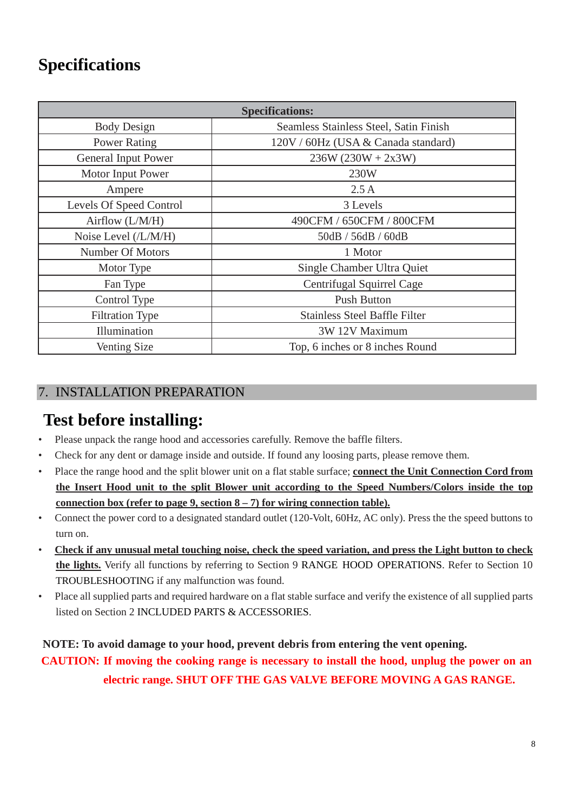# **Specifications**

| <b>Specifications:</b>  |                                        |  |  |  |
|-------------------------|----------------------------------------|--|--|--|
| <b>Body Design</b>      | Seamless Stainless Steel, Satin Finish |  |  |  |
| <b>Power Rating</b>     | 120V / 60Hz (USA & Canada standard)    |  |  |  |
| General Input Power     | $236W (230W + 2x3W)$                   |  |  |  |
| Motor Input Power       | 230W                                   |  |  |  |
| Ampere                  | 2.5A                                   |  |  |  |
| Levels Of Speed Control | 3 Levels                               |  |  |  |
| Airflow $(L/M/H)$       | 490CFM / 650CFM / 800CFM               |  |  |  |
| Noise Level (/L/M/H)    | 50dB / 56dB / 60dB                     |  |  |  |
| <b>Number Of Motors</b> | 1 Motor                                |  |  |  |
| Motor Type              | Single Chamber Ultra Quiet             |  |  |  |
| Fan Type                | Centrifugal Squirrel Cage              |  |  |  |
| Control Type            | <b>Push Button</b>                     |  |  |  |
| <b>Filtration Type</b>  | <b>Stainless Steel Baffle Filter</b>   |  |  |  |
| Illumination            | 3W 12V Maximum                         |  |  |  |
| Venting Size            | Top, 6 inches or 8 inches Round        |  |  |  |

# <span id="page-8-0"></span>7. INSTALLATION PREPARATION

# **Test before installing:**

- Please unpack the range hood and accessories carefully. Remove the baffle filters.
- Check for any dent or damage inside and outside. If found any loosing parts, please remove them.
- Place the range hood and the split blower unit on a flat stable surface; **connect the Unit Connection Cord from the Insert Hood unit to the split Blower unit according to the Speed Numbers/Colors inside the top connection box (refer to page 9, section 8 – 7) for wiring connection table).**
- Connect the power cord to a designated standard outlet (120-Volt, 60Hz, AC only). Press the the speed buttons to turn on.
- **Check if any unusual metal touching noise, check the speed variation, and press the Light button to check the lights.** Verify all functions by referring to Section 9 RANGE HOOD OPERATIONS. Refer to Section 10 [TROUBLESHOOTING](#page-10-1) if any malfunction was found.
- Place all supplied parts and required hardware on a flat stable surface and verify the existence of all supplied parts listed on Section [2](#page-2-1) [INCLUDED PARTS & ACCESSORIES.](#page-2-1)

**NOTE: To avoid damage to your hood, prevent debris from entering the vent opening. CAUTION: If moving the cooking range is necessary to install the hood, unplug the power on an electric range. SHUT OFF THE GAS VALVE BEFORE MOVING A GAS RANGE.**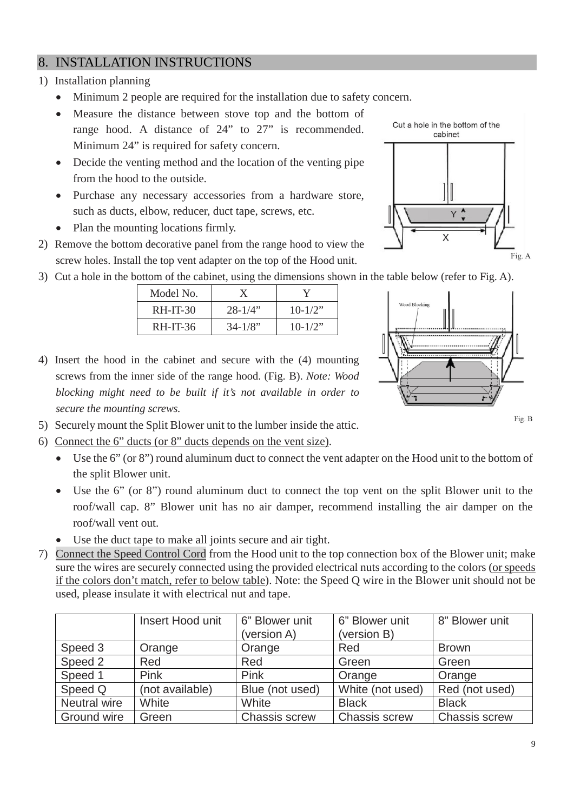# <span id="page-9-0"></span>8. INSTALLATION INSTRUCTIONS

#### 1) Installation planning

- Minimum 2 people are required for the installation due to safety concern.
- Measure the distance between stove top and the bottom of
- range hood. A distance of 24" to 27" is recommended. Minimum 24" is required for safety concern.
- Decide the venting method and the location of the venting pipe from the hood to the outside.
- Purchase any necessary accessories from a hardware store, such as ducts, elbow, reducer, duct tape, screws, etc.
- Plan the mounting locations firmly.
- 2) Remove the bottom decorative panel from the range hood to view the screw holes. Install the top vent adapter on the top of the Hood unit.



3) Cut a hole in the bottom of the cabinet, using the dimensions shown in the table below (refer to Fig. A).

| Model No.  |              |            |
|------------|--------------|------------|
| $RH-IT-30$ | $28 - 1/4$   | $10 - 1/2$ |
| $RH-IT-36$ | $34 - 1/8$ " | $10 - 1/2$ |



Fig. B

- 4) Insert the hood in the cabinet and secure with the (4) mounting screws from the inner side of the range hood. (Fig. B). *Note: Wood blocking might need to be built if it's not available in order to secure the mounting screws.*
- 5) Securely mount the Split Blower unit to the lumber inside the attic.
- 6) Connect the 6" ducts (or 8" ducts depends on the vent size).
	- Use the 6" (or 8") round aluminum duct to connect the vent adapter on the Hood unit to the bottom of the split Blower unit.
	- Use the 6" (or 8") round aluminum duct to connect the top vent on the split Blower unit to the roof/wall cap. 8" Blower unit has no air damper, recommend installing the air damper on the roof/wall vent out.
	- Use the duct tape to make all joints secure and air tight.
- 7) Connect the Speed Control Cord from the Hood unit to the top connection box of the Blower unit; make sure the wires are securely connected using the provided electrical nuts according to the colors (or speeds if the colors don't match, refer to below table). Note: the Speed Q wire in the Blower unit should not be used, please insulate it with electrical nut and tape.

|              | Insert Hood unit | 6" Blower unit<br>(version A) | 6" Blower unit<br>(version B) | 8" Blower unit       |
|--------------|------------------|-------------------------------|-------------------------------|----------------------|
| Speed 3      | Orange           | Orange                        | Red                           | <b>Brown</b>         |
| Speed 2      | Red              | Red                           | Green                         | Green                |
| Speed 1      | Pink             | Pink                          | Orange                        | Orange               |
| Speed Q      | (not available)  | Blue (not used)               | White (not used)              | Red (not used)       |
| Neutral wire | White            | White                         | <b>Black</b>                  | <b>Black</b>         |
| Ground wire  | Green            | <b>Chassis screw</b>          | Chassis screw                 | <b>Chassis screw</b> |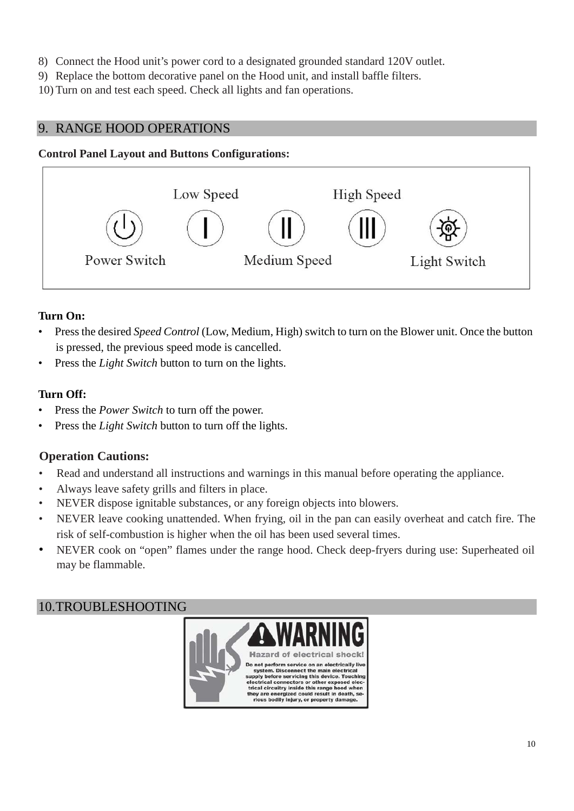- 8) Connect the Hood unit's power cord to a designated grounded standard 120V outlet.
- 9) Replace the bottom decorative panel on the Hood unit, and install baffle filters.
- 10) Turn on and test each speed. Check all lights and fan operations.

# <span id="page-10-0"></span>9. RANGE HOOD OPERATIONS

#### **Control Panel Layout and Buttons Configurations:**



### **Turn On:**

- Press the desired *Speed Control* (Low, Medium, High) switch to turn on the Blower unit. Once the button is pressed, the previous speed mode is cancelled.
- Press the *Light Switch* button to turn on the lights.

### **Turn Off:**

- Press the *Power Switch* to turn off the power.
- Press the *Light Switch* button to turn off the lights.

# **Operation Cautions:**

- Read and understand all instructions and warnings in this manual before operating the appliance.
- Always leave safety grills and filters in place.
- NEVER dispose ignitable substances, or any foreign objects into blowers.
- NEVER leave cooking unattended. When frying, oil in the pan can easily overheat and catch fire. The risk of self-combustion is higher when the oil has been used several times.
- NEVER cook on "open" flames under the range hood. Check deep-fryers during use: Superheated oil may be flammable.

# <span id="page-10-1"></span>10.TROUBLESHOOTING

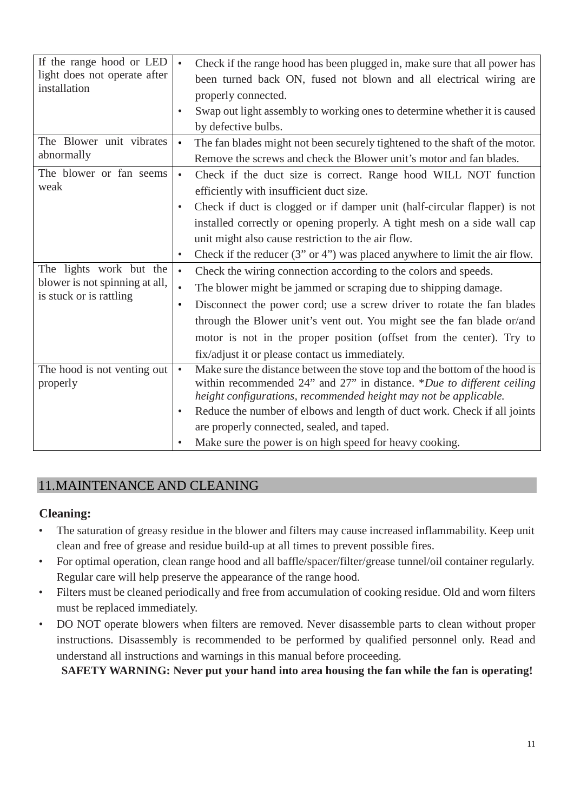| If the range hood or LED<br>light does not operate after<br>installation             | $\bullet$<br>$\bullet$              | Check if the range hood has been plugged in, make sure that all power has<br>been turned back ON, fused not blown and all electrical wiring are<br>properly connected.<br>Swap out light assembly to working ones to determine whether it is caused<br>by defective bulbs.                                                                                                                                       |
|--------------------------------------------------------------------------------------|-------------------------------------|------------------------------------------------------------------------------------------------------------------------------------------------------------------------------------------------------------------------------------------------------------------------------------------------------------------------------------------------------------------------------------------------------------------|
| The Blower unit vibrates<br>abnormally                                               |                                     | The fan blades might not been securely tightened to the shaft of the motor.<br>Remove the screws and check the Blower unit's motor and fan blades.                                                                                                                                                                                                                                                               |
| The blower or fan seems<br>weak                                                      | $\bullet$<br>$\bullet$<br>$\bullet$ | Check if the duct size is correct. Range hood WILL NOT function<br>efficiently with insufficient duct size.<br>Check if duct is clogged or if damper unit (half-circular flapper) is not<br>installed correctly or opening properly. A tight mesh on a side wall cap<br>unit might also cause restriction to the air flow.<br>Check if the reducer $(3"$ or $4"$ ) was placed anywhere to limit the air flow.    |
| The lights work but the<br>blower is not spinning at all,<br>is stuck or is rattling | $\bullet$<br>$\bullet$              | Check the wiring connection according to the colors and speeds.<br>The blower might be jammed or scraping due to shipping damage.<br>Disconnect the power cord; use a screw driver to rotate the fan blades<br>through the Blower unit's vent out. You might see the fan blade or/and<br>motor is not in the proper position (offset from the center). Try to<br>fix/adjust it or please contact us immediately. |
| The hood is not venting out<br>properly                                              | $\bullet$<br>٠                      | Make sure the distance between the stove top and the bottom of the hood is<br>within recommended 24" and 27" in distance. *Due to different ceiling<br>height configurations, recommended height may not be applicable.<br>Reduce the number of elbows and length of duct work. Check if all joints<br>are properly connected, sealed, and taped.<br>Make sure the power is on high speed for heavy cooking.     |

# <span id="page-11-0"></span>11.MAINTENANCE AND CLEANING

# **Cleaning:**

- The saturation of greasy residue in the blower and filters may cause increased inflammability. Keep unit clean and free of grease and residue build-up at all times to prevent possible fires.
- For optimal operation, clean range hood and all baffle/spacer/filter/grease tunnel/oil container regularly. Regular care will help preserve the appearance of the range hood.
- Filters must be cleaned periodically and free from accumulation of cooking residue. Old and worn filters must be replaced immediately.
- DO NOT operate blowers when filters are removed. Never disassemble parts to clean without proper instructions. Disassembly is recommended to be performed by qualified personnel only. Read and understand all instructions and warnings in this manual before proceeding.

**SAFETY WARNING: Never put your hand into area housing the fan while the fan is operating!**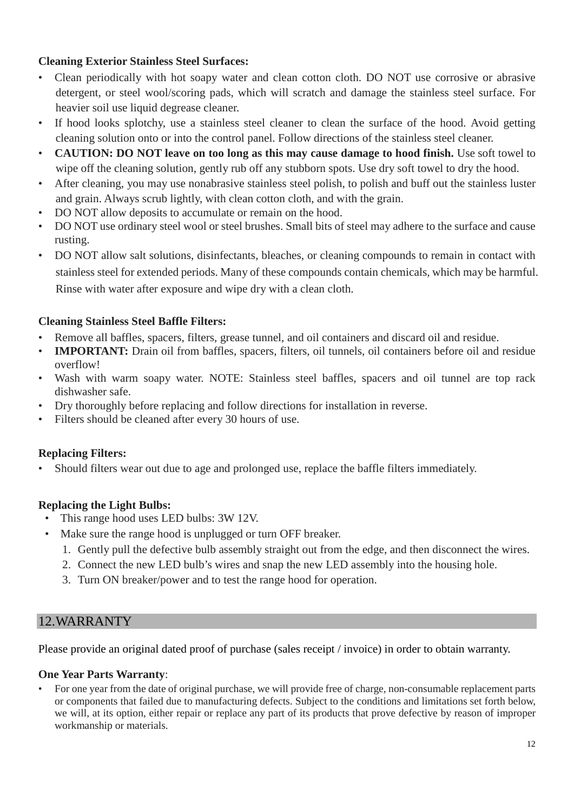## **Cleaning Exterior Stainless Steel Surfaces:**

- Clean periodically with hot soapy water and clean cotton cloth. DO NOT use corrosive or abrasive detergent, or steel wool/scoring pads, which will scratch and damage the stainless steel surface. For heavier soil use liquid degrease cleaner.
- If hood looks splotchy, use a stainless steel cleaner to clean the surface of the hood. Avoid getting cleaning solution onto or into the control panel. Follow directions of the stainless steel cleaner.
- **CAUTION: DO NOT leave on too long as this may cause damage to hood finish.** Use soft towel to wipe off the cleaning solution, gently rub off any stubborn spots. Use dry soft towel to dry the hood.
- After cleaning, you may use nonabrasive stainless steel polish, to polish and buff out the stainless luster and grain. Always scrub lightly, with clean cotton cloth, and with the grain.
- DO NOT allow deposits to accumulate or remain on the hood.
- DO NOT use ordinary steel wool or steel brushes. Small bits of steel may adhere to the surface and cause rusting.
- DO NOT allow salt solutions, disinfectants, bleaches, or cleaning compounds to remain in contact with stainless steel for extended periods. Many of these compounds contain chemicals, which may be harmful. Rinse with water after exposure and wipe dry with a clean cloth.

### **Cleaning Stainless Steel Baffle Filters:**

- Remove all baffles, spacers, filters, grease tunnel, and oil containers and discard oil and residue.
- **IMPORTANT:** Drain oil from baffles, spacers, filters, oil tunnels, oil containers before oil and residue overflow!
- Wash with warm soapy water. NOTE: Stainless steel baffles, spacers and oil tunnel are top rack dishwasher safe.
- Dry thoroughly before replacing and follow directions for installation in reverse.
- Filters should be cleaned after every 30 hours of use.

# **Replacing Filters:**

• Should filters wear out due to age and prolonged use, replace the baffle filters immediately.

# **Replacing the Light Bulbs:**

- This range hood uses LED bulbs: 3W 12V.
- Make sure the range hood is unplugged or turn OFF breaker.
	- 1. Gently pull the defective bulb assembly straight out from the edge, and then disconnect the wires.
	- 2. Connect the new LED bulb's wires and snap the new LED assembly into the housing hole.
	- 3. Turn ON breaker/power and to test the range hood for operation.

# <span id="page-12-0"></span>12.WARRANTY

Please provide an original dated proof of purchase (sales receipt / invoice) in order to obtain warranty.

#### **One Year Parts Warranty**:

• For one year from the date of original purchase, we will provide free of charge, non-consumable replacement parts or components that failed due to manufacturing defects. Subject to the conditions and limitations set forth below, we will, at its option, either repair or replace any part of its products that prove defective by reason of improper workmanship or materials.